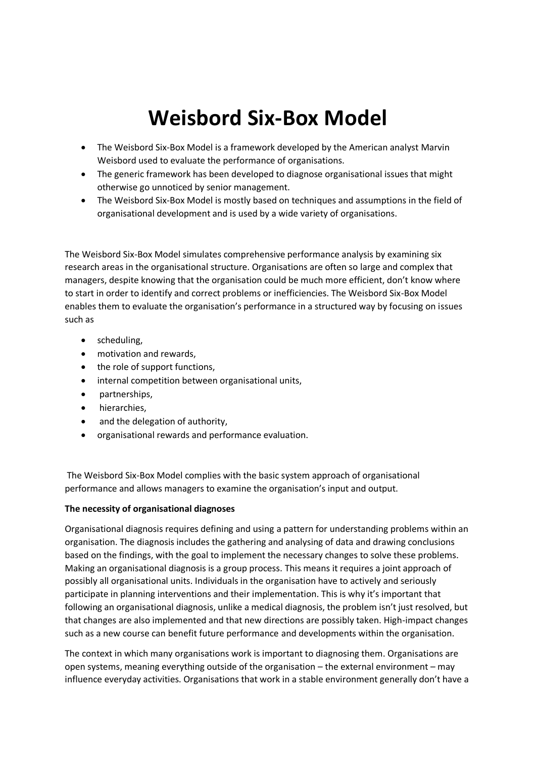# **Weisbord Six-Box Model**

- The Weisbord Six-Box Model is a framework developed by the American analyst Marvin Weisbord used to evaluate the performance of organisations.
- The generic framework has been developed to diagnose organisational issues that might otherwise go unnoticed by senior management.
- The Weisbord Six-Box Model is mostly based on techniques and assumptions in the field of organisational development and is used by a wide variety of organisations.

The Weisbord Six-Box Model simulates comprehensive performance analysis by examining six research areas in the organisational structure. Organisations are often so large and complex that managers, despite knowing that the organisation could be much more efficient, don't know where to start in order to identify and correct problems or inefficiencies. The Weisbord Six-Box Model enables them to evaluate the organisation's performance in a structured way by focusing on issues such as

- scheduling,
- motivation and rewards,
- the role of support functions,
- internal competition between organisational units,
- partnerships,
- hierarchies,
- and the delegation of authority,
- organisational rewards and performance evaluation.

The Weisbord Six-Box Model complies with the basic system approach of organisational performance and allows managers to examine the organisation's input and output.

## **The necessity of organisational diagnoses**

Organisational diagnosis requires defining and using a pattern for understanding problems within an organisation. The diagnosis includes the gathering and analysing of data and drawing conclusions based on the findings, with the goal to implement the necessary changes to solve these problems. Making an organisational diagnosis is a group process. This means it requires a joint approach of possibly all organisational units. Individuals in the organisation have to actively and seriously participate in planning interventions and their implementation. This is why it's important that following an organisational diagnosis, unlike a medical diagnosis, the problem isn't just resolved, but that changes are also implemented and that new directions are possibly taken. High-impact changes such as a new course can benefit future performance and developments within the organisation.

The context in which many organisations work is important to diagnosing them. Organisations are open systems, meaning everything outside of the organisation – the external environment – may influence everyday activities. Organisations that work in a stable environment generally don't have a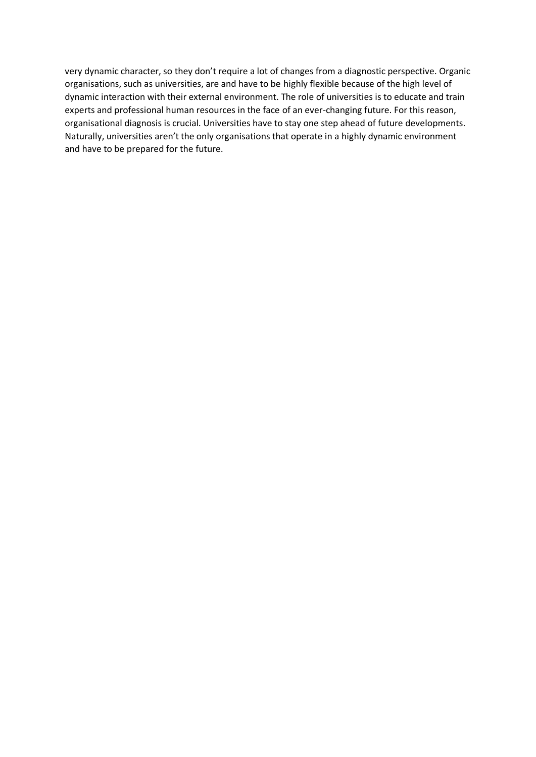very dynamic character, so they don't require a lot of changes from a diagnostic perspective. Organic organisations, such as universities, are and have to be highly flexible because of the high level of dynamic interaction with their external environment. The role of universities is to educate and train experts and professional human resources in the face of an ever-changing future. For this reason, organisational diagnosis is crucial. Universities have to stay one step ahead of future developments. Naturally, universities aren't the only organisations that operate in a highly dynamic environment and have to be prepared for the future.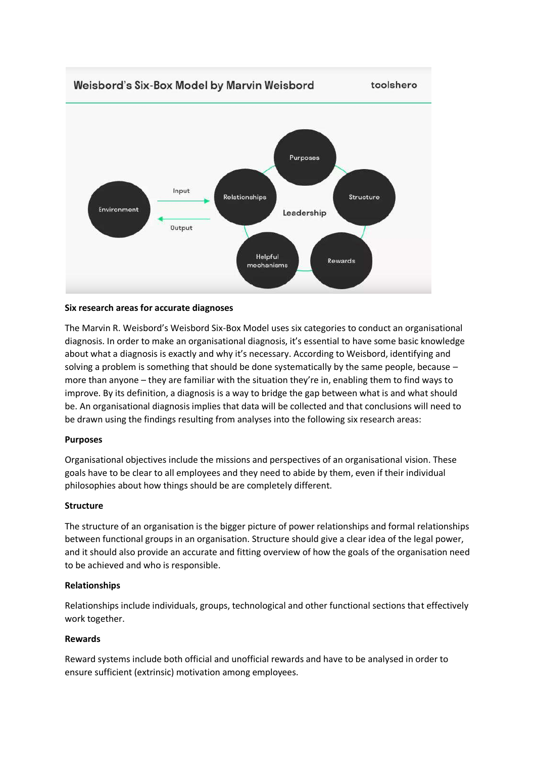

### **Six research areas for accurate diagnoses**

The Marvin R. Weisbord's Weisbord Six-Box Model uses six categories to conduct an organisational diagnosis. In order to make an organisational diagnosis, it's essential to have some basic knowledge about what a diagnosis is exactly and why it's necessary. According to Weisbord, identifying and solving a problem is something that should be done systematically by the same people, because more than anyone – they are familiar with the situation they're in, enabling them to find ways to improve. By its definition, a diagnosis is a way to bridge the gap between what is and what should be. An organisational diagnosis implies that data will be collected and that conclusions will need to be drawn using the findings resulting from analyses into the following six research areas:

#### **Purposes**

Organisational objectives include the missions and perspectives of an organisational vision. These goals have to be clear to all employees and they need to abide by them, even if their individual philosophies about how things should be are completely different.

#### **Structure**

The structure of an organisation is the bigger picture of power relationships and formal relationships between functional groups in an organisation. Structure should give a clear idea of the legal power, and it should also provide an accurate and fitting overview of how the goals of the organisation need to be achieved and who is responsible.

#### **Relationships**

Relationships include individuals, groups, technological and other functional sections that effectively work together.

#### **Rewards**

Reward systems include both official and unofficial rewards and have to be analysed in order to ensure sufficient (extrinsic) motivation among employees.